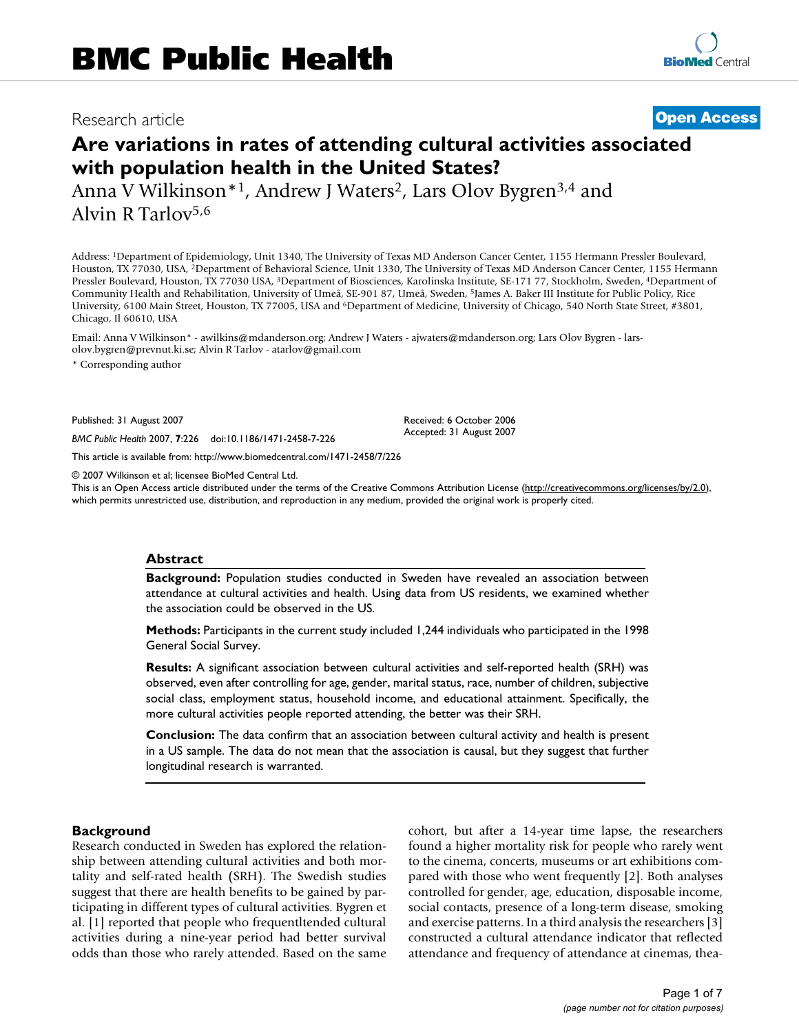## Research article **[Open Access](http://www.biomedcentral.com/info/about/charter/)**

# **Are variations in rates of attending cultural activities associated with population health in the United States?**

Anna V Wilkinson<sup>\*1</sup>, Andrew J Waters<sup>2</sup>, Lars Olov Bygren<sup>3,4</sup> and Alvin R Tarlov5,6

Address: 1Department of Epidemiology, Unit 1340, The University of Texas MD Anderson Cancer Center, 1155 Hermann Pressler Boulevard, Houston, TX 77030, USA, 2Department of Behavioral Science, Unit 1330, The University of Texas MD Anderson Cancer Center, 1155 Hermann Pressler Boulevard, Houston, TX 77030 USA, 3Department of Biosciences, Karolinska Institute, SE-171 77, Stockholm, Sweden, 4Department of Community Health and Rehabilitation, University of Umeå, SE-901 87, Umeå, Sweden, 5James A. Baker III Institute for Public Policy, Rice University, 6100 Main Street, Houston, TX 77005, USA and 6Department of Medicine, University of Chicago, 540 North State Street, #3801, Chicago, Il 60610, USA

Email: Anna V Wilkinson\* - awilkins@mdanderson.org; Andrew J Waters - ajwaters@mdanderson.org; Lars Olov Bygren - larsolov.bygren@prevnut.ki.se; Alvin R Tarlov - atarlov@gmail.com

\* Corresponding author

Published: 31 August 2007

*BMC Public Health* 2007, **7**:226 doi:10.1186/1471-2458-7-226

[This article is available from: http://www.biomedcentral.com/1471-2458/7/226](http://www.biomedcentral.com/1471-2458/7/226)

© 2007 Wilkinson et al; licensee BioMed Central Ltd.

This is an Open Access article distributed under the terms of the Creative Commons Attribution License [\(http://creativecommons.org/licenses/by/2.0\)](http://creativecommons.org/licenses/by/2.0), which permits unrestricted use, distribution, and reproduction in any medium, provided the original work is properly cited.

Received: 6 October 2006 Accepted: 31 August 2007

### **Abstract**

**Background:** Population studies conducted in Sweden have revealed an association between attendance at cultural activities and health. Using data from US residents, we examined whether the association could be observed in the US.

**Methods:** Participants in the current study included 1,244 individuals who participated in the 1998 General Social Survey.

**Results:** A significant association between cultural activities and self-reported health (SRH) was observed, even after controlling for age, gender, marital status, race, number of children, subjective social class, employment status, household income, and educational attainment. Specifically, the more cultural activities people reported attending, the better was their SRH.

**Conclusion:** The data confirm that an association between cultural activity and health is present in a US sample. The data do not mean that the association is causal, but they suggest that further longitudinal research is warranted.

#### **Background**

Research conducted in Sweden has explored the relationship between attending cultural activities and both mortality and self-rated health (SRH). The Swedish studies suggest that there are health benefits to be gained by participating in different types of cultural activities. Bygren et al. [1] reported that people who frequentltended cultural activities during a nine-year period had better survival odds than those who rarely attended. Based on the same cohort, but after a 14-year time lapse, the researchers found a higher mortality risk for people who rarely went to the cinema, concerts, museums or art exhibitions compared with those who went frequently [2]. Both analyses controlled for gender, age, education, disposable income, social contacts, presence of a long-term disease, smoking and exercise patterns. In a third analysis the researchers [3] constructed a cultural attendance indicator that reflected attendance and frequency of attendance at cinemas, thea-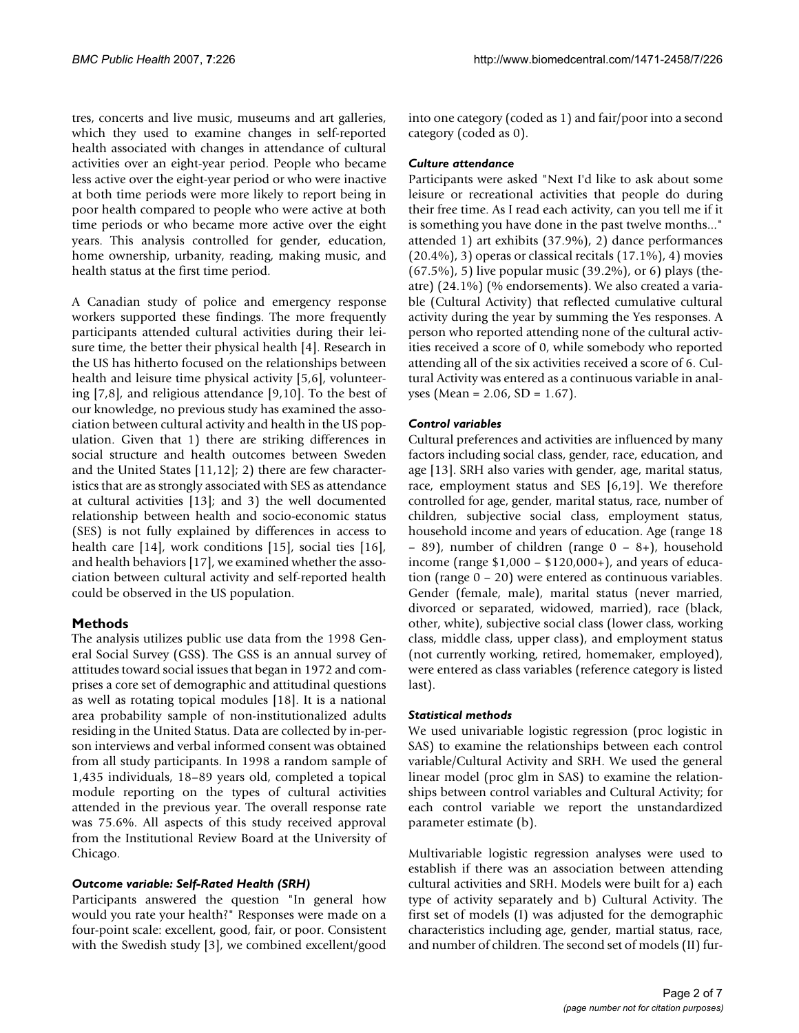tres, concerts and live music, museums and art galleries, which they used to examine changes in self-reported health associated with changes in attendance of cultural activities over an eight-year period. People who became less active over the eight-year period or who were inactive at both time periods were more likely to report being in poor health compared to people who were active at both time periods or who became more active over the eight years. This analysis controlled for gender, education, home ownership, urbanity, reading, making music, and health status at the first time period.

A Canadian study of police and emergency response workers supported these findings. The more frequently participants attended cultural activities during their leisure time, the better their physical health [4]. Research in the US has hitherto focused on the relationships between health and leisure time physical activity [5,6], volunteering [7,8], and religious attendance [9,10]. To the best of our knowledge, no previous study has examined the association between cultural activity and health in the US population. Given that 1) there are striking differences in social structure and health outcomes between Sweden and the United States [11,12]; 2) there are few characteristics that are as strongly associated with SES as attendance at cultural activities [13]; and 3) the well documented relationship between health and socio-economic status (SES) is not fully explained by differences in access to health care [14], work conditions [15], social ties [16], and health behaviors [17], we examined whether the association between cultural activity and self-reported health could be observed in the US population.

## **Methods**

The analysis utilizes public use data from the 1998 General Social Survey (GSS). The GSS is an annual survey of attitudes toward social issues that began in 1972 and comprises a core set of demographic and attitudinal questions as well as rotating topical modules [18]. It is a national area probability sample of non-institutionalized adults residing in the United Status. Data are collected by in-person interviews and verbal informed consent was obtained from all study participants. In 1998 a random sample of 1,435 individuals, 18–89 years old, completed a topical module reporting on the types of cultural activities attended in the previous year. The overall response rate was 75.6%. All aspects of this study received approval from the Institutional Review Board at the University of Chicago.

## *Outcome variable: Self-Rated Health (SRH)*

Participants answered the question "In general how would you rate your health?" Responses were made on a four-point scale: excellent, good, fair, or poor. Consistent with the Swedish study [3], we combined excellent/good

into one category (coded as 1) and fair/poor into a second category (coded as 0).

## *Culture attendance*

Participants were asked "Next I'd like to ask about some leisure or recreational activities that people do during their free time. As I read each activity, can you tell me if it is something you have done in the past twelve months..." attended 1) art exhibits (37.9%), 2) dance performances (20.4%), 3) operas or classical recitals (17.1%), 4) movies (67.5%), 5) live popular music (39.2%), or 6) plays (theatre) (24.1%) (% endorsements). We also created a variable (Cultural Activity) that reflected cumulative cultural activity during the year by summing the Yes responses. A person who reported attending none of the cultural activities received a score of 0, while somebody who reported attending all of the six activities received a score of 6. Cultural Activity was entered as a continuous variable in analyses (Mean = 2.06, SD = 1.67).

## *Control variables*

Cultural preferences and activities are influenced by many factors including social class, gender, race, education, and age [13]. SRH also varies with gender, age, marital status, race, employment status and SES [6,19]. We therefore controlled for age, gender, marital status, race, number of children, subjective social class, employment status, household income and years of education. Age (range 18 – 89), number of children (range 0 – 8+), household income (range \$1,000 – \$120,000+), and years of education (range 0 – 20) were entered as continuous variables. Gender (female, male), marital status (never married, divorced or separated, widowed, married), race (black, other, white), subjective social class (lower class, working class, middle class, upper class), and employment status (not currently working, retired, homemaker, employed), were entered as class variables (reference category is listed last).

## *Statistical methods*

We used univariable logistic regression (proc logistic in SAS) to examine the relationships between each control variable/Cultural Activity and SRH. We used the general linear model (proc glm in SAS) to examine the relationships between control variables and Cultural Activity; for each control variable we report the unstandardized parameter estimate (b).

Multivariable logistic regression analyses were used to establish if there was an association between attending cultural activities and SRH. Models were built for a) each type of activity separately and b) Cultural Activity. The first set of models (I) was adjusted for the demographic characteristics including age, gender, martial status, race, and number of children. The second set of models (II) fur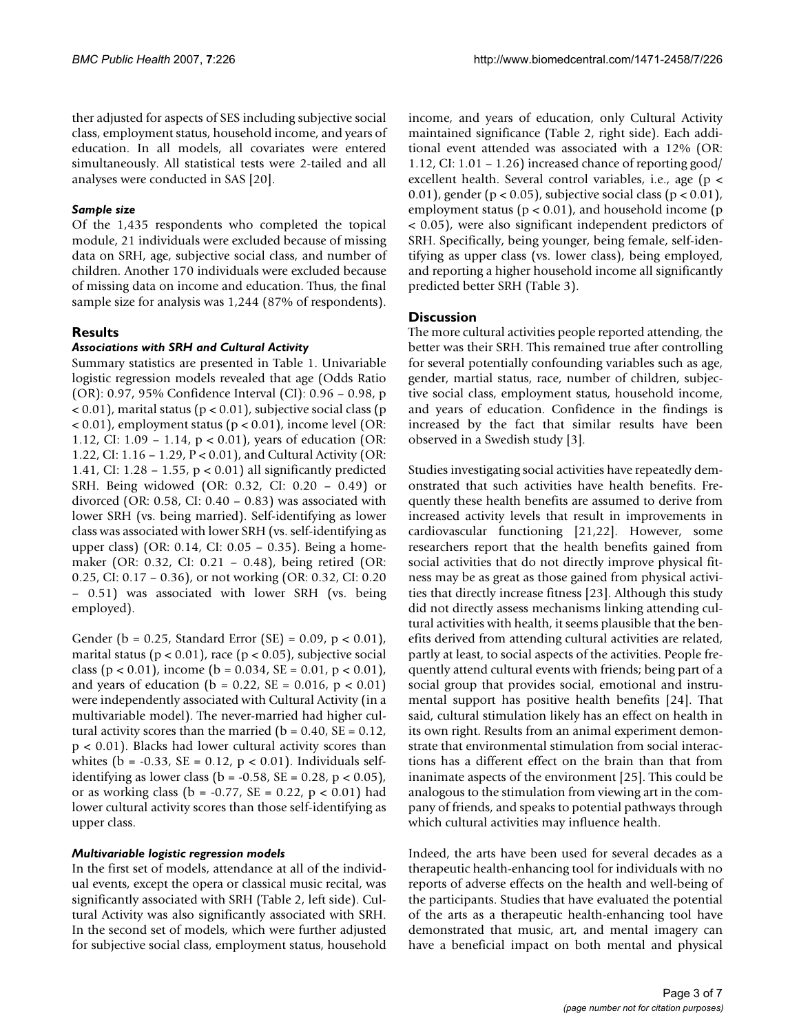ther adjusted for aspects of SES including subjective social class, employment status, household income, and years of education. In all models, all covariates were entered simultaneously. All statistical tests were 2-tailed and all analyses were conducted in SAS [20].

## *Sample size*

Of the 1,435 respondents who completed the topical module, 21 individuals were excluded because of missing data on SRH, age, subjective social class, and number of children. Another 170 individuals were excluded because of missing data on income and education. Thus, the final sample size for analysis was 1,244 (87% of respondents).

## **Results**

## *Associations with SRH and Cultural Activity*

Summary statistics are presented in Table 1. Univariable logistic regression models revealed that age (Odds Ratio (OR): 0.97, 95% Confidence Interval (CI): 0.96 – 0.98, p  $< 0.01$ ), marital status (p  $< 0.01$ ), subjective social class (p  $<$  0.01), employment status ( $p$  < 0.01), income level (OR: 1.12, CI: 1.09 – 1.14, p < 0.01), years of education (OR: 1.22, CI: 1.16 – 1.29, P < 0.01), and Cultural Activity (OR: 1.41, CI: 1.28 – 1.55, p < 0.01) all significantly predicted SRH. Being widowed (OR: 0.32, CI: 0.20 – 0.49) or divorced (OR: 0.58, CI:  $0.40 - 0.83$ ) was associated with lower SRH (vs. being married). Self-identifying as lower class was associated with lower SRH (vs. self-identifying as upper class) (OR: 0.14, CI: 0.05 – 0.35). Being a homemaker (OR: 0.32, CI: 0.21 – 0.48), being retired (OR: 0.25, CI: 0.17 – 0.36), or not working (OR: 0.32, CI: 0.20 – 0.51) was associated with lower SRH (vs. being employed).

Gender (b = 0.25, Standard Error (SE) = 0.09, p < 0.01), marital status ( $p < 0.01$ ), race ( $p < 0.05$ ), subjective social class (p < 0.01), income (b = 0.034, SE = 0.01, p < 0.01), and years of education ( $b = 0.22$ ,  $SE = 0.016$ ,  $p < 0.01$ ) were independently associated with Cultural Activity (in a multivariable model). The never-married had higher cultural activity scores than the married ( $b = 0.40$ ,  $SE = 0.12$ , p < 0.01). Blacks had lower cultural activity scores than whites ( $b = -0.33$ ,  $SE = 0.12$ ,  $p < 0.01$ ). Individuals selfidentifying as lower class (b =  $-0.58$ , SE = 0.28, p < 0.05), or as working class ( $b = -0.77$ ,  $SE = 0.22$ ,  $p < 0.01$ ) had lower cultural activity scores than those self-identifying as upper class.

#### *Multivariable logistic regression models*

In the first set of models, attendance at all of the individual events, except the opera or classical music recital, was significantly associated with SRH (Table 2, left side). Cultural Activity was also significantly associated with SRH. In the second set of models, which were further adjusted for subjective social class, employment status, household

income, and years of education, only Cultural Activity maintained significance (Table 2, right side). Each additional event attended was associated with a 12% (OR: 1.12, CI: 1.01 – 1.26) increased chance of reporting good/ excellent health. Several control variables, i.e., age (p < 0.01), gender ( $p < 0.05$ ), subjective social class ( $p < 0.01$ ), employment status ( $p < 0.01$ ), and household income ( $p$ < 0.05), were also significant independent predictors of SRH. Specifically, being younger, being female, self-identifying as upper class (vs. lower class), being employed, and reporting a higher household income all significantly predicted better SRH (Table 3).

### **Discussion**

The more cultural activities people reported attending, the better was their SRH. This remained true after controlling for several potentially confounding variables such as age, gender, martial status, race, number of children, subjective social class, employment status, household income, and years of education. Confidence in the findings is increased by the fact that similar results have been observed in a Swedish study [3].

Studies investigating social activities have repeatedly demonstrated that such activities have health benefits. Frequently these health benefits are assumed to derive from increased activity levels that result in improvements in cardiovascular functioning [21,22]. However, some researchers report that the health benefits gained from social activities that do not directly improve physical fitness may be as great as those gained from physical activities that directly increase fitness [23]. Although this study did not directly assess mechanisms linking attending cultural activities with health, it seems plausible that the benefits derived from attending cultural activities are related, partly at least, to social aspects of the activities. People frequently attend cultural events with friends; being part of a social group that provides social, emotional and instrumental support has positive health benefits [24]. That said, cultural stimulation likely has an effect on health in its own right. Results from an animal experiment demonstrate that environmental stimulation from social interactions has a different effect on the brain than that from inanimate aspects of the environment [25]. This could be analogous to the stimulation from viewing art in the company of friends, and speaks to potential pathways through which cultural activities may influence health.

Indeed, the arts have been used for several decades as a therapeutic health-enhancing tool for individuals with no reports of adverse effects on the health and well-being of the participants. Studies that have evaluated the potential of the arts as a therapeutic health-enhancing tool have demonstrated that music, art, and mental imagery can have a beneficial impact on both mental and physical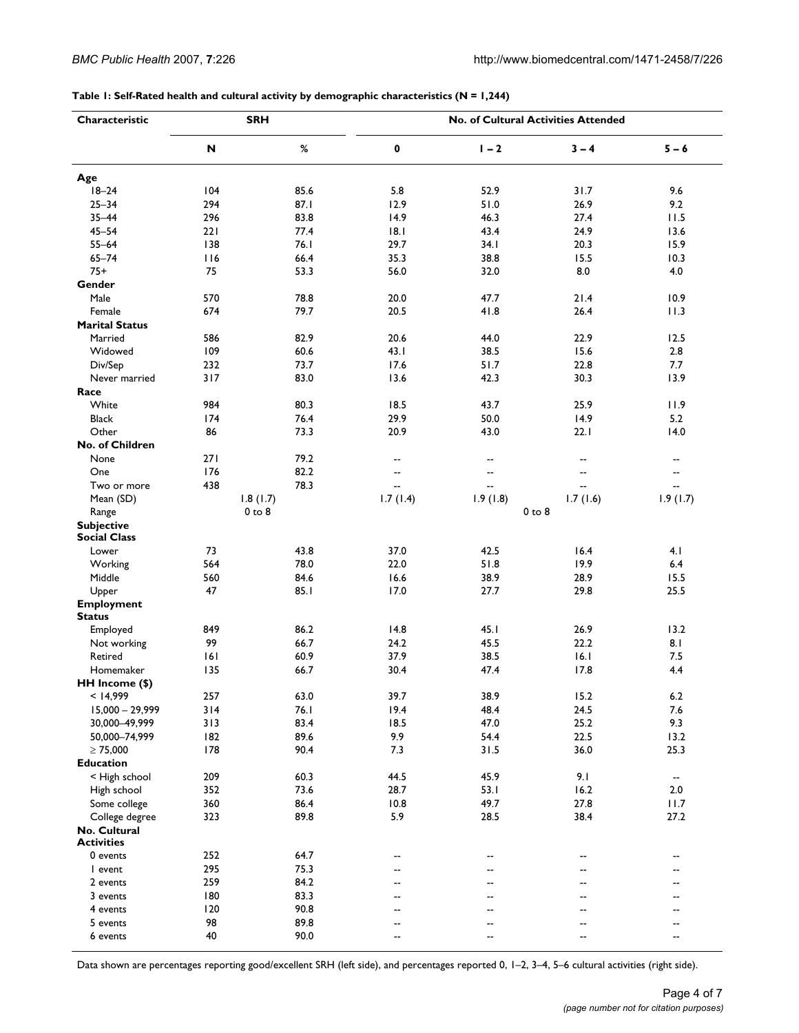**Table 1: Self-Rated health and cultural activity by demographic characteristics (N = 1,244)**

| Characteristic                           | <b>SRH</b> |                        | No. of Cultural Activities Attended |                          |                |                          |
|------------------------------------------|------------|------------------------|-------------------------------------|--------------------------|----------------|--------------------------|
|                                          | N          | $\%$                   | 0                                   | $1 - 2$                  | $3 - 4$        | $5 - 6$                  |
| Age                                      |            |                        |                                     |                          |                |                          |
| $18 - 24$                                | 104        | 85.6                   | 5.8                                 | 52.9                     | 31.7           | 9.6                      |
| $25 - 34$                                | 294        | 87.1                   | 12.9                                | 51.0                     | 26.9           | 9.2                      |
| $35 - 44$                                | 296        | 83.8                   | 14.9                                | 46.3                     | 27.4           | 11.5                     |
| $45 - 54$                                | 221        | 77.4                   | 18.1                                | 43.4                     | 24.9           | 13.6                     |
| $55 - 64$                                | 138        | 76.I                   | 29.7                                | 34. I                    | 20.3           | 15.9                     |
| $65 - 74$                                | 116        | 66.4                   | 35.3                                | 38.8                     | 15.5           | 10.3                     |
| $75+$                                    | 75         | 53.3                   | 56.0                                | 32.0                     | 8.0            | 4.0                      |
| Gender                                   |            |                        |                                     |                          |                |                          |
| Male                                     | 570        | 78.8                   | 20.0                                | 47.7                     | 21.4           | 10.9                     |
| Female                                   | 674        | 79.7                   | 20.5                                | 41.8                     | 26.4           | 11.3                     |
| <b>Marital Status</b>                    |            |                        |                                     |                          |                |                          |
| Married                                  | 586        | 82.9                   | 20.6                                | 44.0                     | 22.9           | 12.5                     |
| Widowed                                  | 109        | 60.6                   | 43.1                                | 38.5                     | 15.6           | 2.8                      |
| Div/Sep                                  | 232        | 73.7                   | 17.6                                | 51.7                     | 22.8           | 7.7                      |
| Never married                            | 317        | 83.0                   | 13.6                                | 42.3                     | 30.3           | 13.9                     |
| Race                                     |            |                        |                                     |                          |                |                          |
| White                                    | 984        | 80.3                   | 18.5                                | 43.7                     | 25.9           | 11.9                     |
| <b>Black</b>                             | 174        | 76.4                   | 29.9                                | 50.0                     | 14.9           | 5.2                      |
| Other                                    | 86         | 73.3                   | 20.9                                | 43.0                     | 22.1           | 14.0                     |
| No. of Children                          |            |                        |                                     |                          |                |                          |
| None                                     | 271        | 79.2                   | --                                  | --                       | --             | --                       |
| One                                      | 176        | 82.2                   | $\overline{\phantom{a}}$            | $\overline{\phantom{a}}$ | --             | $\qquad \qquad -$        |
| Two or more                              | 438        | 78.3                   | --                                  | ٠.                       | $\overline{a}$ | --                       |
|                                          |            |                        |                                     |                          | 1.7(1.6)       |                          |
| Mean (SD)                                |            | 1.8(1.7)<br>$0$ to $8$ | 1.7(1.4)                            | 1.9(1.8)                 | $0$ to $8$     | 1.9(1.7)                 |
| Range                                    |            |                        |                                     |                          |                |                          |
| <b>Subjective</b><br><b>Social Class</b> |            |                        |                                     |                          |                |                          |
| Lower                                    | 73         | 43.8                   | 37.0                                | 42.5                     | 16.4           | 4.1                      |
| Working                                  | 564        | 78.0                   | 22.0                                | 51.8                     | 19.9           | 6.4                      |
| Middle                                   | 560        | 84.6                   | 16.6                                | 38.9                     | 28.9           | 15.5                     |
|                                          | 47         |                        |                                     |                          |                |                          |
| Upper                                    |            | 85.1                   | 17.0                                | 27.7                     | 29.8           | 25.5                     |
| <b>Employment</b><br><b>Status</b>       |            |                        |                                     |                          |                |                          |
| Employed                                 | 849        | 86.2                   | 14.8                                | 45.1                     | 26.9           | 13.2                     |
|                                          | 99         | 66.7                   |                                     |                          |                | 8.1                      |
| Not working                              |            |                        | 24.2<br>37.9                        | 45.5<br>38.5             | 22.2<br>16.1   | 7.5                      |
| Retired                                  | 6          | 60.9                   |                                     |                          |                | 4.4                      |
| Homemaker                                | 135        | 66.7                   | 30.4                                | 47.4                     | 17.8           |                          |
| HH Income (\$)                           |            |                        |                                     |                          |                |                          |
| < 14,999                                 | 257        | 63.0                   | 39.7                                | 38.9                     | 15.2           | $6.2\,$                  |
| $15,000 - 29,999$                        | 314        | 76.1                   | 19.4                                | 48.4                     | 24.5           | 7.6                      |
| 30,000-49,999                            | 313        | 83.4                   | 18.5                                | 47.0                     | 25.2           | 9.3                      |
| 50,000-74,999                            | 182        | 89.6                   | 9.9                                 | 54.4                     | 22.5           | 13.2                     |
| $\geq 75,000$                            | 178        | 90.4                   | 7.3                                 | 31.5                     | 36.0           | 25.3                     |
| <b>Education</b>                         |            |                        |                                     |                          |                |                          |
| < High school                            | 209        | 60.3                   | 44.5                                | 45.9                     | 9.1            | $\overline{\phantom{a}}$ |
| High school                              | 352        | 73.6                   | 28.7                                | 53.1                     | 16.2           | 2.0                      |
| Some college                             | 360        | 86.4                   | 10.8                                | 49.7                     | 27.8           | 11.7                     |
| College degree                           | 323        | 89.8                   | 5.9                                 | 28.5                     | 38.4           | 27.2                     |
| No. Cultural<br><b>Activities</b>        |            |                        |                                     |                          |                |                          |
| 0 events                                 | 252        | 64.7                   | --                                  | --                       | --             | --                       |
| I event                                  | 295        | 75.3                   | --                                  | --                       |                | --                       |
| 2 events                                 | 259        | 84.2                   | $\overline{a}$                      | --                       |                | --                       |
| 3 events                                 | 180        | 83.3                   | $- -$                               | --                       |                | $-$                      |
| 4 events                                 | 120        | 90.8                   | $\overline{a}$                      | --                       |                | --                       |
| 5 events                                 | 98         | 89.8                   | --                                  | --                       |                | --                       |
| 6 events                                 | 40         | 90.0                   | $\overline{a}$                      | --                       | ۵.             | --                       |

Data shown are percentages reporting good/excellent SRH (left side), and percentages reported 0, 1–2, 3–4, 5–6 cultural activities (right side).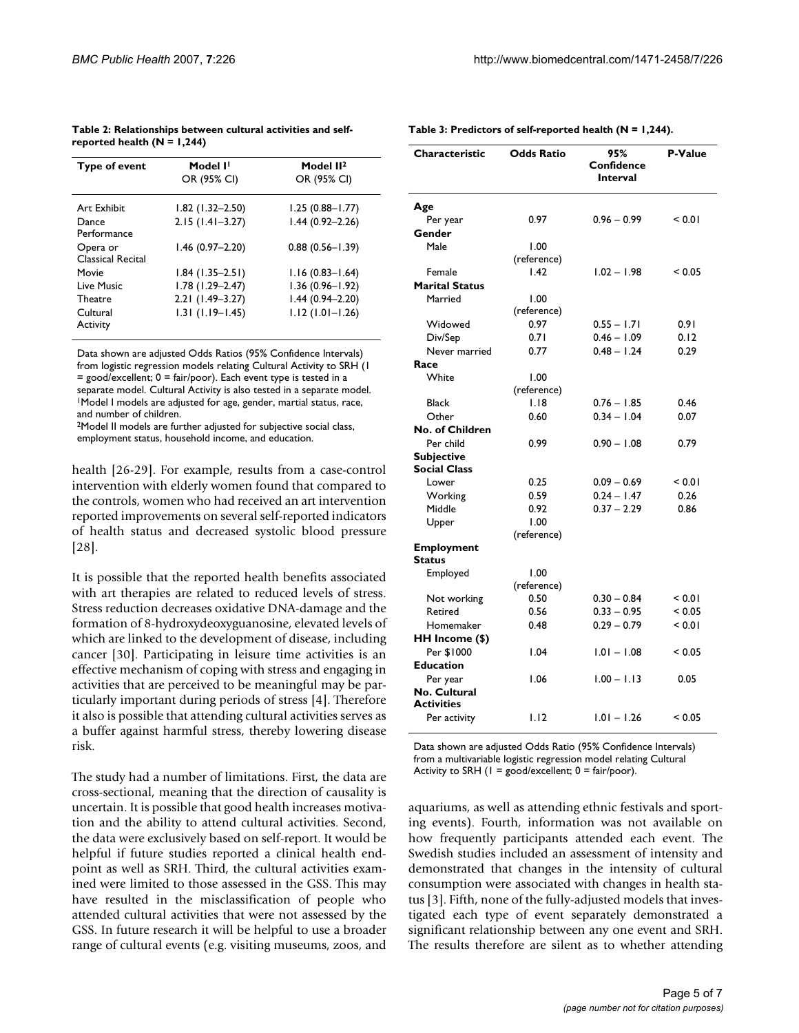| Model I <sup>I</sup> | Model II <sup>2</sup> |
|----------------------|-----------------------|
| OR (95% CI)          | OR (95% CI)           |
| $1.82$ (1.32-2.50)   | $1.25(0.88 - 1.77)$   |
| $2.15(1.41 - 3.27)$  | $1.44(0.92 - 2.26)$   |
| $1.46(0.97 - 2.20)$  | $0.88(0.56 - 1.39)$   |
| $1.84$ (1.35-2.51)   | $1.16(0.83 - 1.64)$   |
| $1.78(1.29 - 2.47)$  | $1.36(0.96 - 1.92)$   |
| $2.21(1.49-3.27)$    | $1.44(0.94 - 2.20)$   |
| $1.31(1.19 - 1.45)$  | $1.12(1.01 - 1.26)$   |
|                      |                       |

**Table 2: Relationships between cultural activities and selfreported health (N = 1,244)**

Data shown are adjusted Odds Ratios (95% Confidence Intervals) from logistic regression models relating Cultural Activity to SRH (1 = good/excellent; 0 = fair/poor). Each event type is tested in a separate model. Cultural Activity is also tested in a separate model. 1Model I models are adjusted for age, gender, martial status, race, and number of children.

2Model II models are further adjusted for subjective social class, employment status, household income, and education.

health [26-29]. For example, results from a case-control intervention with elderly women found that compared to the controls, women who had received an art intervention reported improvements on several self-reported indicators of health status and decreased systolic blood pressure [28].

It is possible that the reported health benefits associated with art therapies are related to reduced levels of stress. Stress reduction decreases oxidative DNA-damage and the formation of 8-hydroxydeoxyguanosine, elevated levels of which are linked to the development of disease, including cancer [30]. Participating in leisure time activities is an effective mechanism of coping with stress and engaging in activities that are perceived to be meaningful may be particularly important during periods of stress [4]. Therefore it also is possible that attending cultural activities serves as a buffer against harmful stress, thereby lowering disease risk.

The study had a number of limitations. First, the data are cross-sectional, meaning that the direction of causality is uncertain. It is possible that good health increases motivation and the ability to attend cultural activities. Second, the data were exclusively based on self-report. It would be helpful if future studies reported a clinical health endpoint as well as SRH. Third, the cultural activities examined were limited to those assessed in the GSS. This may have resulted in the misclassification of people who attended cultural activities that were not assessed by the GSS. In future research it will be helpful to use a broader range of cultural events (e.g. visiting museums, zoos, and

| Characteristic                     | <b>Odds Ratio</b> | 95%<br>Confidence<br><b>Interval</b> | P-Value |
|------------------------------------|-------------------|--------------------------------------|---------|
| Age                                |                   |                                      |         |
| Per year                           | 0.97              | $0.96 - 0.99$                        | < 0.01  |
| Gender                             |                   |                                      |         |
| Male                               | 1.00              |                                      |         |
|                                    | (reference)       |                                      |         |
| Female                             | 1.42              | $1.02 - 1.98$                        | < 0.05  |
| <b>Marital Status</b>              |                   |                                      |         |
| Married                            | 1.00              |                                      |         |
|                                    | (reference)       |                                      |         |
| Widowed                            | 0.97              | $0.55 - 1.71$                        | 0.91    |
| Div/Sep                            | 0.71              | $0.46 - 1.09$                        | 0.12    |
| Never married                      | 0.77              | $0.48 - 1.24$                        | 0.29    |
| Race                               |                   |                                      |         |
| White                              | 1.00              |                                      |         |
|                                    | (reference)       |                                      |         |
| <b>Black</b>                       | 1.18              | $0.76 - 1.85$                        | 0.46    |
| Other                              | 0.60              | $0.34 - 1.04$                        | 0.07    |
| No. of Children                    |                   |                                      |         |
| Per child                          | 0.99              | $0.90 - 1.08$                        | 0.79    |
| Subjective                         |                   |                                      |         |
| <b>Social Class</b>                |                   |                                      |         |
| Lower                              | 0.25              | $0.09 - 0.69$                        | < 0.01  |
| Working                            | 0.59              | $0.24 - 1.47$                        | 0.26    |
| Middle                             | 0.92              | $0.37 - 2.29$                        | 0.86    |
| Upper                              | 1.00              |                                      |         |
|                                    | (reference)       |                                      |         |
| <b>Employment</b><br><b>Status</b> |                   |                                      |         |
| Employed                           | 1.00              |                                      |         |
|                                    | (reference)       |                                      |         |
| Not working                        | 0.50              | $0.30 - 0.84$                        | < 0.01  |
| Retired                            | 0.56              | $0.33 - 0.95$                        | < 0.05  |
| Homemaker                          | 0.48              | $0.29 - 0.79$                        | < 0.01  |
| HH Income (\$)                     |                   |                                      |         |
| Per \$1000                         | 1.04              | $1.01 - 1.08$                        | < 0.05  |
| <b>Education</b>                   |                   |                                      |         |
| Per year                           | 1.06              | $1.00 - 1.13$                        | 0.05    |
| No. Cultural<br><b>Activities</b>  |                   |                                      |         |
| Per activity                       | I.I2              | $1.01 - 1.26$                        | < 0.05  |
|                                    |                   |                                      |         |

Data shown are adjusted Odds Ratio (95% Confidence Intervals) from a multivariable logistic regression model relating Cultural Activity to SRH ( $I = \text{good}/\text{excellent}$ ;  $0 = \text{fair}/\text{poor}$ ).

aquariums, as well as attending ethnic festivals and sporting events). Fourth, information was not available on how frequently participants attended each event. The Swedish studies included an assessment of intensity and demonstrated that changes in the intensity of cultural consumption were associated with changes in health status [3]. Fifth, none of the fully-adjusted models that investigated each type of event separately demonstrated a significant relationship between any one event and SRH. The results therefore are silent as to whether attending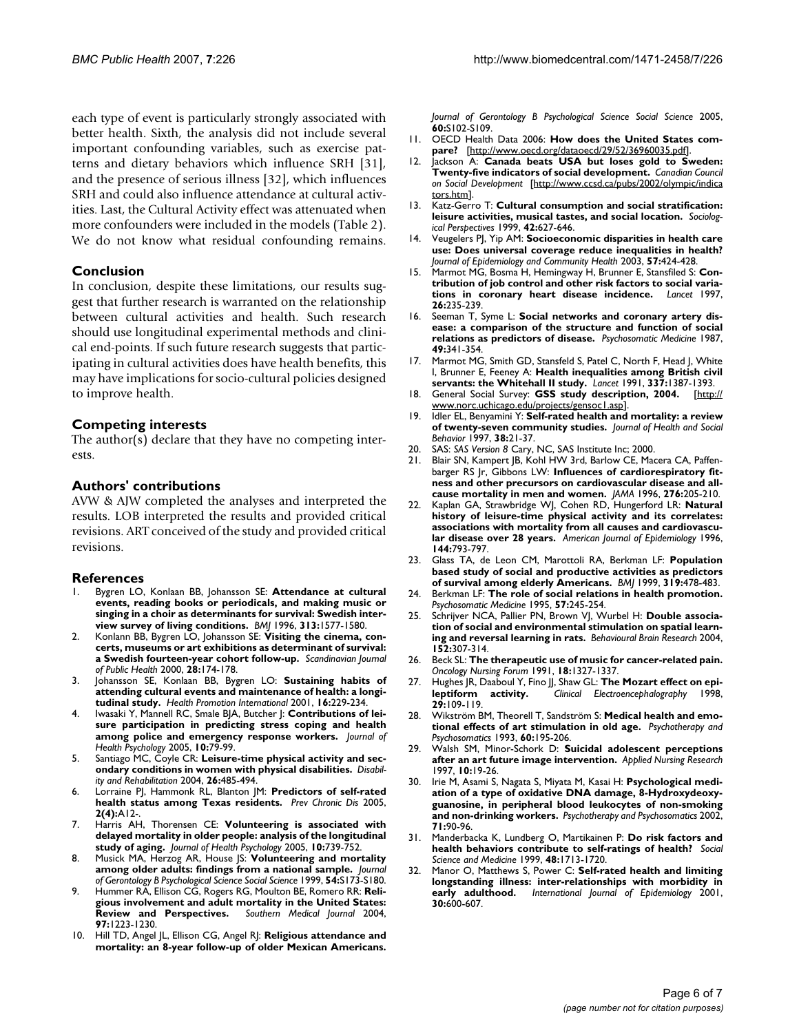each type of event is particularly strongly associated with better health. Sixth, the analysis did not include several important confounding variables, such as exercise patterns and dietary behaviors which influence SRH [31], and the presence of serious illness [32], which influences SRH and could also influence attendance at cultural activities. Last, the Cultural Activity effect was attenuated when more confounders were included in the models (Table 2). We do not know what residual confounding remains.

## **Conclusion**

In conclusion, despite these limitations, our results suggest that further research is warranted on the relationship between cultural activities and health. Such research should use longitudinal experimental methods and clinical end-points. If such future research suggests that participating in cultural activities does have health benefits, this may have implications for socio-cultural policies designed to improve health.

## **Competing interests**

The author(s) declare that they have no competing interests.

## **Authors' contributions**

AVW & AJW completed the analyses and interpreted the results. LOB interpreted the results and provided critical revisions. ART conceived of the study and provided critical revisions.

## **References**

- 1. Bygren LO, Konlaan BB, Johansson SE: **[Attendance at cultural](http://www.ncbi.nlm.nih.gov/entrez/query.fcgi?cmd=Retrieve&db=PubMed&dopt=Abstract&list_uids=8990990) events, reading books or periodicals, and making music or [singing in a choir as determinants for survival: Swedish inter](http://www.ncbi.nlm.nih.gov/entrez/query.fcgi?cmd=Retrieve&db=PubMed&dopt=Abstract&list_uids=8990990)[view survey of living conditions.](http://www.ncbi.nlm.nih.gov/entrez/query.fcgi?cmd=Retrieve&db=PubMed&dopt=Abstract&list_uids=8990990)** *BMJ* 1996, **313:**1577-1580.
- 2. Konlann BB, Bygren LO, Johansson SE: **[Visiting the cinema, con](http://www.ncbi.nlm.nih.gov/entrez/query.fcgi?cmd=Retrieve&db=PubMed&dopt=Abstract&list_uids=11045748)[certs, museums or art exhibitions as determinant of survival:](http://www.ncbi.nlm.nih.gov/entrez/query.fcgi?cmd=Retrieve&db=PubMed&dopt=Abstract&list_uids=11045748) [a Swedish fourteen-year cohort follow-up.](http://www.ncbi.nlm.nih.gov/entrez/query.fcgi?cmd=Retrieve&db=PubMed&dopt=Abstract&list_uids=11045748)** *Scandinavian Journal of Public Health* 2000, **28:**174-178.
- 3. Johansson SE, Konlaan BB, Bygren LO: **[Sustaining habits of](http://www.ncbi.nlm.nih.gov/entrez/query.fcgi?cmd=Retrieve&db=PubMed&dopt=Abstract&list_uids=11509458) [attending cultural events and maintenance of health: a longi](http://www.ncbi.nlm.nih.gov/entrez/query.fcgi?cmd=Retrieve&db=PubMed&dopt=Abstract&list_uids=11509458)[tudinal study.](http://www.ncbi.nlm.nih.gov/entrez/query.fcgi?cmd=Retrieve&db=PubMed&dopt=Abstract&list_uids=11509458)** *Health Promotion International* 2001, **16:**229-234.
- 4. Iwasaki Y, Mannell RC, Smale BJA, Butcher J: **[Contributions of lei](http://www.ncbi.nlm.nih.gov/entrez/query.fcgi?cmd=Retrieve&db=PubMed&dopt=Abstract&list_uids=15576502)[sure participation in predicting stress coping and health](http://www.ncbi.nlm.nih.gov/entrez/query.fcgi?cmd=Retrieve&db=PubMed&dopt=Abstract&list_uids=15576502) [among police and emergency response workers.](http://www.ncbi.nlm.nih.gov/entrez/query.fcgi?cmd=Retrieve&db=PubMed&dopt=Abstract&list_uids=15576502)** *Journal of Health Psychology* 2005, **10:**79-99.
- 5. Santiago MC, Coyle CR: **Leisure-time physical activity and secondary conditions in women with physical disabilities.** *Disability and Rehabilitation* 2004, **26:**485-494.
- 6. Lorraine PJ, Hammonk RL, Blanton JM: **[Predictors of self-rated](http://www.ncbi.nlm.nih.gov/entrez/query.fcgi?cmd=Retrieve&db=PubMed&dopt=Abstract&list_uids=16164816) [health status among Texas residents.](http://www.ncbi.nlm.nih.gov/entrez/query.fcgi?cmd=Retrieve&db=PubMed&dopt=Abstract&list_uids=16164816)** *Prev Chronic Dis* 2005, **2(4):**A12-.
- 7. Harris AH, Thorensen CE: **[Volunteering is associated with](http://www.ncbi.nlm.nih.gov/entrez/query.fcgi?cmd=Retrieve&db=PubMed&dopt=Abstract&list_uids=16176953) [delayed mortality in older people: analysis of the longitudinal](http://www.ncbi.nlm.nih.gov/entrez/query.fcgi?cmd=Retrieve&db=PubMed&dopt=Abstract&list_uids=16176953) [study of aging.](http://www.ncbi.nlm.nih.gov/entrez/query.fcgi?cmd=Retrieve&db=PubMed&dopt=Abstract&list_uids=16176953)** *Journal of Health Psychology* 2005, **10:**739-752.
- 8. Musick MA, Herzog AR, House JS: **Volunteering and mortality among older adults: findings from a national sample.** *Journal of Gerontology B Psychological Science Social Science* 1999, **54:**S173-S180.
- 9. Hummer RA, Ellison CG, Rogers RG, Moulton BE, Romero RR: **[Reli](http://www.ncbi.nlm.nih.gov/entrez/query.fcgi?cmd=Retrieve&db=PubMed&dopt=Abstract&list_uids=15646761)[gious involvement and adult mortality in the United States:](http://www.ncbi.nlm.nih.gov/entrez/query.fcgi?cmd=Retrieve&db=PubMed&dopt=Abstract&list_uids=15646761) [Review and Perspectives.](http://www.ncbi.nlm.nih.gov/entrez/query.fcgi?cmd=Retrieve&db=PubMed&dopt=Abstract&list_uids=15646761)** *Southern Medical Journal* 2004, **97:**1223-1230.
- 10. Hill TD, Angel JL, Ellison CG, Angel RJ: **Religious attendance and mortality: an 8-year follow-up of older Mexican Americans.**

*Journal of Gerontology B Psychological Science Social Science* 2005, **60:**S102-S109.

- 11. OECD Health Data 2006: **How does the United States compare?** [\[http://www.oecd.org/dataoecd/29/52/36960035.pdf\]](http://www.oecd.org/dataoecd/29/52/36960035.pdf).
- 12. Jackson A: **Canada beats USA but loses gold to Sweden: Twenty-five indicators of social development.** *Canadian Council on Social Development* [[http://www.ccsd.ca/pubs/2002/olympic/indica](http://www.ccsd.ca/pubs/2002/olympic/indicators.htm) [tors.htm\]](http://www.ccsd.ca/pubs/2002/olympic/indicators.htm).
- 13. Katz-Gerro T: **Cultural consumption and social stratification: leisure activities, musical tastes, and social location.** *Sociological Perspectives* 1999, **42:**627-646.
- 14. Veugelers PJ, Yip AM: **Socioeconomic disparities in health care use: Does universal coverage reduce inequalities in health?** *Journal of Epidemiology and Community Health* 2003, **57:**424-428.
- 15. Marmot MG, Bosma H, Hemingway H, Brunner E, Stansfiled S: **Contribution of job control and other risk factors to social variations in coronary heart disease incidence.** *Lancet* 1997, **26:**235-239.
- 16. Seeman T, Syme L: **[Social networks and coronary artery dis](http://www.ncbi.nlm.nih.gov/entrez/query.fcgi?cmd=Retrieve&db=PubMed&dopt=Abstract&list_uids=3615763)[ease: a comparison of the structure and function of social](http://www.ncbi.nlm.nih.gov/entrez/query.fcgi?cmd=Retrieve&db=PubMed&dopt=Abstract&list_uids=3615763) [relations as predictors of disease.](http://www.ncbi.nlm.nih.gov/entrez/query.fcgi?cmd=Retrieve&db=PubMed&dopt=Abstract&list_uids=3615763)** *Psychosomatic Medicine* 1987, **49:**341-354.
- 17. Marmot MG, Smith GD, Stansfeld S, Patel C, North F, Head J, White I, Brunner E, Feeney A: **[Health inequalities among British civil](http://www.ncbi.nlm.nih.gov/entrez/query.fcgi?cmd=Retrieve&db=PubMed&dopt=Abstract&list_uids=1674771) [servants: the Whitehall II study.](http://www.ncbi.nlm.nih.gov/entrez/query.fcgi?cmd=Retrieve&db=PubMed&dopt=Abstract&list_uids=1674771)** *Lancet* 1991, **337:**1387-1393.
- 18. General Social Survey: **GSS study description, 2004.** [\[http://](http://www.norc.uchicago.edu/projects/gensoc1.asp) [www.norc.uchicago.edu/projects/gensoc1.asp\]](http://www.norc.uchicago.edu/projects/gensoc1.asp).
- 19. Idler EL, Benyamini Y: **Self-rated health and mortality: a review of twenty-seven community studies.** *Journal of Health and Social Behavior* 1997, **38:**21-37.
- 20. SAS: *SAS Version 8* Cary, NC, SAS Institute Inc; 2000.
- 21. Blair SN, Kampert JB, Kohl HW 3rd, Barlow CE, Macera CA, Paffen-barger RS |r, Gibbons LW: [Influences of cardiorespiratory fit](http://www.ncbi.nlm.nih.gov/entrez/query.fcgi?cmd=Retrieve&db=PubMed&dopt=Abstract&list_uids=8667564)**[ness and other precursors on cardiovascular disease and all](http://www.ncbi.nlm.nih.gov/entrez/query.fcgi?cmd=Retrieve&db=PubMed&dopt=Abstract&list_uids=8667564)[cause mortality in men and women.](http://www.ncbi.nlm.nih.gov/entrez/query.fcgi?cmd=Retrieve&db=PubMed&dopt=Abstract&list_uids=8667564)** *JAMA* 1996, **276:**205-210.
- 22. Kaplan GA, Strawbridge WJ, Cohen RD, Hungerford LR: **[Natural](http://www.ncbi.nlm.nih.gov/entrez/query.fcgi?cmd=Retrieve&db=PubMed&dopt=Abstract&list_uids=8857828) history of leisure-time physical activity and its correlates: [associations with mortality from all causes and cardiovascu](http://www.ncbi.nlm.nih.gov/entrez/query.fcgi?cmd=Retrieve&db=PubMed&dopt=Abstract&list_uids=8857828)[lar disease over 28 years.](http://www.ncbi.nlm.nih.gov/entrez/query.fcgi?cmd=Retrieve&db=PubMed&dopt=Abstract&list_uids=8857828)** *American Journal of Epidemiology* 1996, **144:**793-797.
- 23. Glass TA, de Leon CM, Marottoli RA, Berkman LF: **[Population](http://www.ncbi.nlm.nih.gov/entrez/query.fcgi?cmd=Retrieve&db=PubMed&dopt=Abstract&list_uids=10454399) [based study of social and productive activities as predictors](http://www.ncbi.nlm.nih.gov/entrez/query.fcgi?cmd=Retrieve&db=PubMed&dopt=Abstract&list_uids=10454399) [of survival among elderly Americans.](http://www.ncbi.nlm.nih.gov/entrez/query.fcgi?cmd=Retrieve&db=PubMed&dopt=Abstract&list_uids=10454399)** *BMJ* 1999, **319:**478-483.
- 24. Berkman LF: **[The role of social relations in health promotion.](http://www.ncbi.nlm.nih.gov/entrez/query.fcgi?cmd=Retrieve&db=PubMed&dopt=Abstract&list_uids=7652125)** *Psychosomatic Medicine* 1995, **57:**245-254.
- 25. Schrijver NCA, Pallier PN, Brown VJ, Wurbel H: **[Double associa](http://www.ncbi.nlm.nih.gov/entrez/query.fcgi?cmd=Retrieve&db=PubMed&dopt=Abstract&list_uids=15196798)[tion of social and environmental stimulation on spatial learn](http://www.ncbi.nlm.nih.gov/entrez/query.fcgi?cmd=Retrieve&db=PubMed&dopt=Abstract&list_uids=15196798)[ing and reversal learning in rats.](http://www.ncbi.nlm.nih.gov/entrez/query.fcgi?cmd=Retrieve&db=PubMed&dopt=Abstract&list_uids=15196798)** *Behavioural Brain Research* 2004, **152:**307-314.
- 26. Beck SL: **[The therapeutic use of music for cancer-related pain.](http://www.ncbi.nlm.nih.gov/entrez/query.fcgi?cmd=Retrieve&db=PubMed&dopt=Abstract&list_uids=1762973)** *Oncology Nursing Forum* 1991, **18:**1327-1337.
- 27. Hughes JR, Daaboul Y, Fino JJ, Shaw GL: **The Mozart effect on epi-**<br>le**ptiform activity.** Clinical Electroencephalography 1998, **[leptiform activity.](http://www.ncbi.nlm.nih.gov/entrez/query.fcgi?cmd=Retrieve&db=PubMed&dopt=Abstract&list_uids=9660010)** *Clinical Electroencephalography* 1998, **29:**109-119.
- 28. Wikström BM, Theorell T, Sandström S: **Medical health and emotional effects of art stimulation in old age.** *Psychotherapy and Psychosomatics* 1993, **60:**195-206.
- 29. Walsh SM, Minor-Schork D: **[Suicidal adolescent perceptions](http://www.ncbi.nlm.nih.gov/entrez/query.fcgi?cmd=Retrieve&db=PubMed&dopt=Abstract&list_uids=9114536) [after an art future image intervention.](http://www.ncbi.nlm.nih.gov/entrez/query.fcgi?cmd=Retrieve&db=PubMed&dopt=Abstract&list_uids=9114536)** *Applied Nursing Research* 1997, **10:**19-26.
- 30. Irie M, Asami S, Nagata S, Miyata M, Kasai H: **Psychological mediation of a type of oxidative DNA damage, 8-Hydroxydeoxyguanosine, in peripheral blood leukocytes of non-smoking and non-drinking workers.** *Psychotherapy and Psychosomatics* 2002, **71:**90-96.
- 31. Manderbacka K, Lundberg O, Martikainen P: **Do risk factors and health behaviors contribute to self-ratings of health?** *Social Science and Medicine* 1999, **48:**1713-1720.
- 32. Manor O, Matthews S, Power C: **[Self-rated health and limiting](http://www.ncbi.nlm.nih.gov/entrez/query.fcgi?cmd=Retrieve&db=PubMed&dopt=Abstract&list_uids=11416091) [longstanding illness: inter-relationships with morbidity in](http://www.ncbi.nlm.nih.gov/entrez/query.fcgi?cmd=Retrieve&db=PubMed&dopt=Abstract&list_uids=11416091) [early adulthood.](http://www.ncbi.nlm.nih.gov/entrez/query.fcgi?cmd=Retrieve&db=PubMed&dopt=Abstract&list_uids=11416091)** *International Journal of Epidemiology* 2001, **30:**600-607.